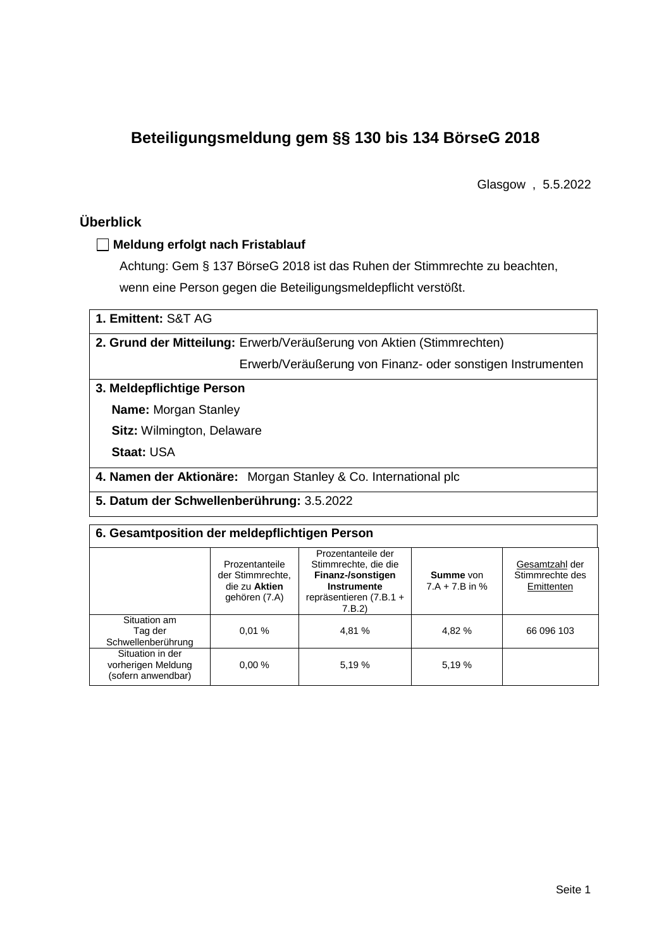# **Beteiligungsmeldung gem §§ 130 bis 134 BörseG 2018**

Glasgow , 5.5.2022

# **Überblick**

## **Meldung erfolgt nach Fristablauf**

Achtung: Gem § 137 BörseG 2018 ist das Ruhen der Stimmrechte zu beachten, wenn eine Person gegen die Beteiligungsmeldepflicht verstößt.

| 1. Emittent: S&T AG |  |
|---------------------|--|
|---------------------|--|

**2. Grund der Mitteilung:** Erwerb/Veräußerung von Aktien (Stimmrechten)

Erwerb/Veräußerung von Finanz- oder sonstigen Instrumenten

### **3. Meldepflichtige Person**

**Name:** Morgan Stanley

**Sitz:** Wilmington, Delaware

**Staat:** USA

**4. Namen der Aktionäre:** Morgan Stanley & Co. International plc

**5. Datum der Schwellenberührung:** 3.5.2022

### **6. Gesamtposition der meldepflichtigen Person**

| Prozentanteile<br>der Stimmrechte.<br>die zu Aktien<br>gehören (7.A) |       | Prozentanteile der<br>Stimmrechte, die die<br>Finanz-/sonstigen<br>Instrumente<br>repräsentieren (7.B.1 +<br>7.B.2) | Summe von<br>$7.A + 7.B$ in % | Gesamtzahl der<br>Stimmrechte des<br>Emittenten |  |  |
|----------------------------------------------------------------------|-------|---------------------------------------------------------------------------------------------------------------------|-------------------------------|-------------------------------------------------|--|--|
| Situation am<br>Tag der<br>Schwellenberührung                        | 0.01% | 4.81 %                                                                                                              | 4.82 %                        | 66 096 103                                      |  |  |
| Situation in der<br>vorherigen Meldung<br>(sofern anwendbar)         | 0.00% | 5,19 %                                                                                                              | 5.19 %                        |                                                 |  |  |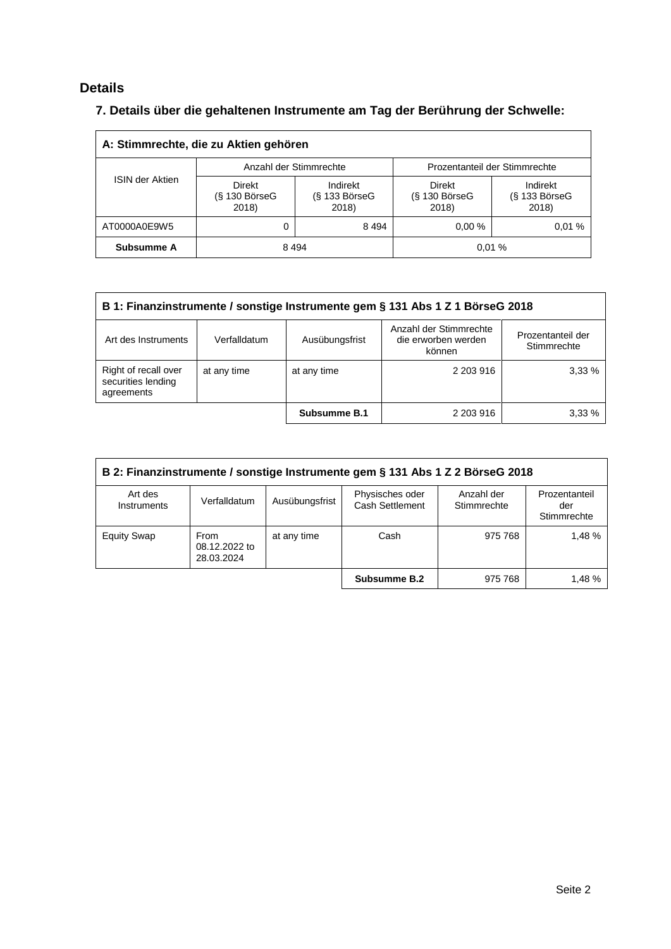# **Details**

# **7. Details über die gehaltenen Instrumente am Tag der Berührung der Schwelle:**

| A: Stimmrechte, die zu Aktien gehören |                                           |                                      |                                           |                                      |  |  |  |
|---------------------------------------|-------------------------------------------|--------------------------------------|-------------------------------------------|--------------------------------------|--|--|--|
|                                       |                                           | Anzahl der Stimmrechte               | Prozentanteil der Stimmrechte             |                                      |  |  |  |
| <b>ISIN der Aktien</b>                | <b>Direkt</b><br>$(S$ 130 BörseG<br>2018) | Indirekt<br>$(S$ 133 BörseG<br>2018) | <b>Direkt</b><br>$(S$ 130 BörseG<br>2018) | Indirekt<br>$(S$ 133 BörseG<br>2018) |  |  |  |
| AT0000A0E9W5                          | 8494                                      |                                      | $0.00 \%$                                 | 0.01%                                |  |  |  |
| Subsumme A                            | 8494<br>0.01%                             |                                      |                                           |                                      |  |  |  |

| B 1: Finanzinstrumente / sonstige Instrumente gem § 131 Abs 1 Z 1 BörseG 2018 |              |                     |                                                         |                                  |  |
|-------------------------------------------------------------------------------|--------------|---------------------|---------------------------------------------------------|----------------------------------|--|
| Art des Instruments                                                           | Verfalldatum | Ausübungsfrist      | Anzahl der Stimmrechte<br>die erworben werden<br>können | Prozentanteil der<br>Stimmrechte |  |
| Right of recall over<br>securities lending<br>agreements                      | at any time  | at any time         | 2 203 916                                               | 3.33%                            |  |
|                                                                               |              | <b>Subsumme B.1</b> | 2 203 916                                               | 3.33%                            |  |

| B 2: Finanzinstrumente / sonstige Instrumente gem § 131 Abs 1 Z 2 BörseG 2018 |                                     |                |                                    |                           |                                     |  |  |
|-------------------------------------------------------------------------------|-------------------------------------|----------------|------------------------------------|---------------------------|-------------------------------------|--|--|
| Art des<br>Instruments                                                        | Verfalldatum                        | Ausübungsfrist | Physisches oder<br>Cash Settlement | Anzahl der<br>Stimmrechte | Prozentanteil<br>der<br>Stimmrechte |  |  |
| <b>Equity Swap</b>                                                            | From<br>08.12.2022 to<br>28.03.2024 | at any time    | Cash                               | 975 768                   | 1.48 %                              |  |  |
|                                                                               |                                     |                | Subsumme B.2                       | 975 768                   | 1.48%                               |  |  |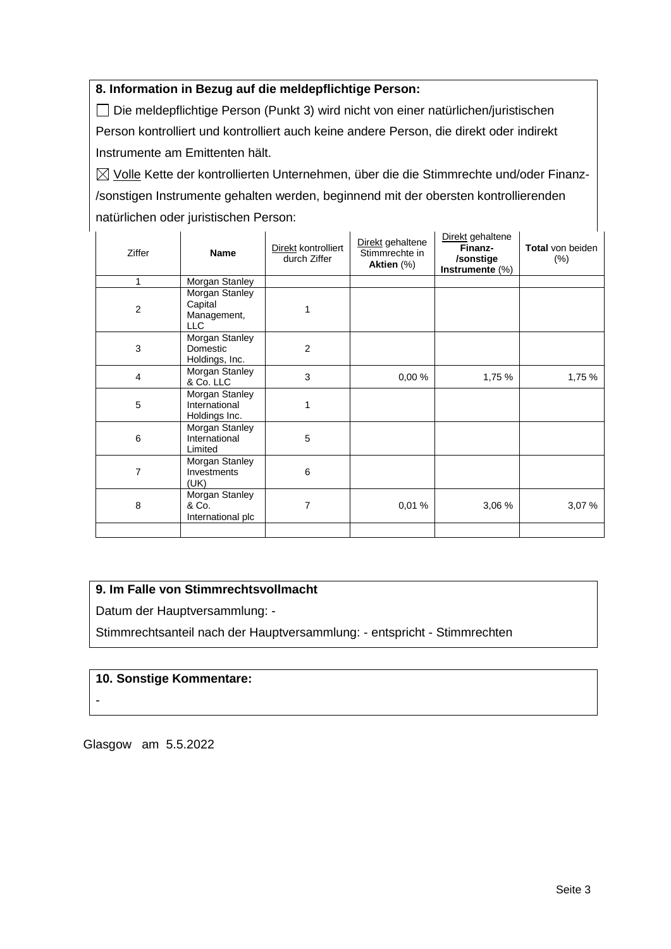### **8. Information in Bezug auf die meldepflichtige Person:**

Die meldepflichtige Person (Punkt 3) wird nicht von einer natürlichen/juristischen Person kontrolliert und kontrolliert auch keine andere Person, die direkt oder indirekt Instrumente am Emittenten hält.

 $\boxtimes$  Volle Kette der kontrollierten Unternehmen, über die die Stimmrechte und/oder Finanz-/sonstigen Instrumente gehalten werden, beginnend mit der obersten kontrollierenden natürlichen oder juristischen Person:

| Ziffer         | <b>Name</b>                                            | Direkt kontrolliert<br>durch Ziffer | Direkt gehaltene<br>Stimmrechte in<br>Aktien (%) | Direkt gehaltene<br>Finanz-<br>/sonstige<br>Instrumente (%) | <b>Total von beiden</b><br>$(\%)$ |
|----------------|--------------------------------------------------------|-------------------------------------|--------------------------------------------------|-------------------------------------------------------------|-----------------------------------|
| 1              | Morgan Stanley                                         |                                     |                                                  |                                                             |                                   |
| $\overline{c}$ | Morgan Stanley<br>Capital<br>Management,<br><b>LLC</b> |                                     |                                                  |                                                             |                                   |
| 3              | Morgan Stanley<br>Domestic<br>Holdings, Inc.           | $\overline{2}$                      |                                                  |                                                             |                                   |
| $\overline{4}$ | Morgan Stanley<br>& Co. LLC                            | 3                                   | 0,00%                                            | 1,75 %                                                      | 1,75%                             |
| 5              | Morgan Stanley<br>International<br>Holdings Inc.       | 1                                   |                                                  |                                                             |                                   |
| 6              | Morgan Stanley<br>International<br>Limited             | 5                                   |                                                  |                                                             |                                   |
| $\overline{7}$ | Morgan Stanley<br>Investments<br>(UK)                  | 6                                   |                                                  |                                                             |                                   |
| 8              | Morgan Stanley<br>& Co.<br>International plc           | 7                                   | 0,01%                                            | 3,06 %                                                      | 3,07%                             |
|                |                                                        |                                     |                                                  |                                                             |                                   |

## **9. Im Falle von Stimmrechtsvollmacht**

Datum der Hauptversammlung: -

Stimmrechtsanteil nach der Hauptversammlung: - entspricht - Stimmrechten

### **10. Sonstige Kommentare:**

-

Glasgow am 5.5.2022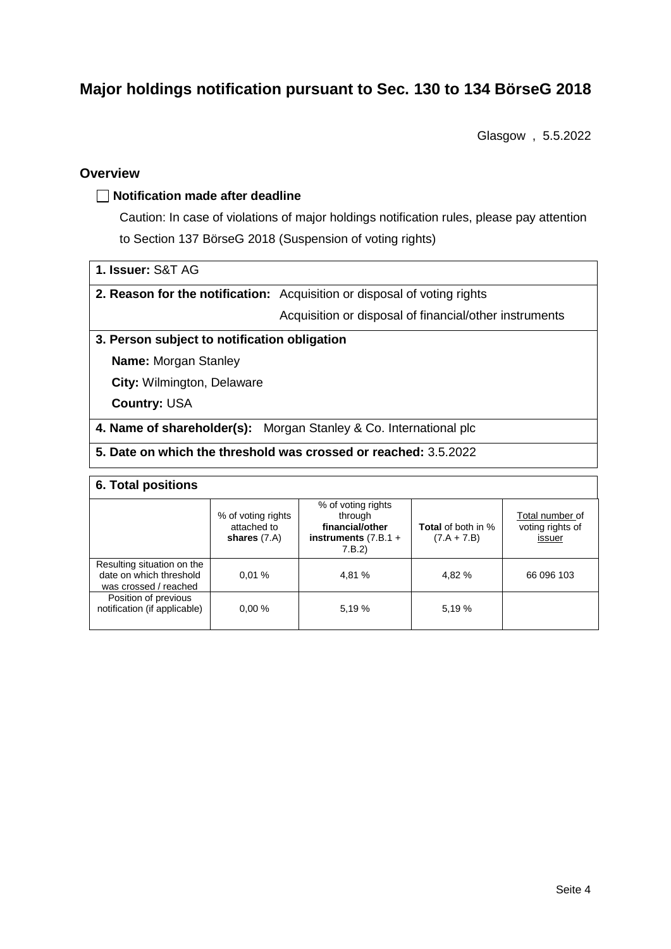# **Major holdings notification pursuant to Sec. 130 to 134 BörseG 2018**

Glasgow , 5.5.2022

### **Overview**

### **Notification made after deadline**

Caution: In case of violations of major holdings notification rules, please pay attention to Section 137 BörseG 2018 (Suspension of voting rights)

**2. Reason for the notification:** Acquisition or disposal of voting rights

Acquisition or disposal of financial/other instruments

### **3. Person subject to notification obligation**

**Name:** Morgan Stanley

**City:** Wilmington, Delaware

**Country:** USA

**4. Name of shareholder(s):** Morgan Stanley & Co. International plc

## **5. Date on which the threshold was crossed or reached:** 3.5.2022

#### **6. Total positions**

|                                                                                | % of voting rights<br>attached to<br>shares $(7.A)$ | % of voting rights<br>through<br>financial/other<br>instruments $(7.B.1 +$<br>7.B.2) | <b>Total</b> of both in %<br>$(7.A + 7.B)$ | Total number of<br>voting rights of<br>issuer |  |  |
|--------------------------------------------------------------------------------|-----------------------------------------------------|--------------------------------------------------------------------------------------|--------------------------------------------|-----------------------------------------------|--|--|
| Resulting situation on the<br>date on which threshold<br>was crossed / reached | 0.01%                                               | 4,81 %                                                                               | 4.82 %                                     | 66 096 103                                    |  |  |
| Position of previous<br>notification (if applicable)                           | 0.00%                                               | 5.19 %                                                                               | 5.19 %                                     |                                               |  |  |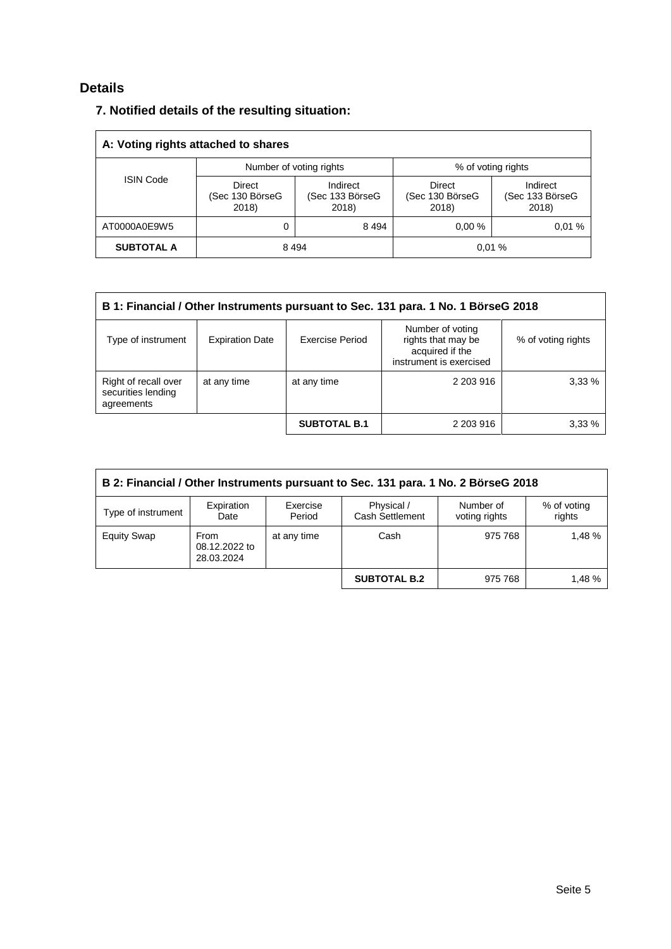# **Details**

|  |  |  |  |  | 7. Notified details of the resulting situation: |
|--|--|--|--|--|-------------------------------------------------|
|--|--|--|--|--|-------------------------------------------------|

| A: Voting rights attached to shares |                                    |                                      |                                           |                                      |  |  |
|-------------------------------------|------------------------------------|--------------------------------------|-------------------------------------------|--------------------------------------|--|--|
|                                     | Number of voting rights            |                                      | % of voting rights                        |                                      |  |  |
| <b>ISIN Code</b>                    | Direct<br>(Sec 130 BörseG<br>2018) | Indirect<br>(Sec 133 BörseG<br>2018) | <b>Direct</b><br>(Sec 130 BörseG<br>2018) | Indirect<br>(Sec 133 BörseG<br>2018) |  |  |
| AT0000A0E9W5                        |                                    | 8 4 9 4                              | 0.00%                                     | 0.01%                                |  |  |
| <b>SUBTOTAL A</b>                   | 8494<br>0.01%                      |                                      |                                           |                                      |  |  |

| B 1: Financial / Other Instruments pursuant to Sec. 131 para. 1 No. 1 BörseG 2018 |                        |                     |                                                                                      |                    |  |  |
|-----------------------------------------------------------------------------------|------------------------|---------------------|--------------------------------------------------------------------------------------|--------------------|--|--|
| Type of instrument                                                                | <b>Expiration Date</b> | Exercise Period     | Number of voting<br>rights that may be<br>acquired if the<br>instrument is exercised | % of voting rights |  |  |
| Right of recall over<br>securities lending<br>agreements                          | at any time            | at any time         | 2 203 916                                                                            | 3,33%              |  |  |
|                                                                                   |                        | <b>SUBTOTAL B.1</b> | 2 203 916                                                                            | 3,33%              |  |  |

| B 2: Financial / Other Instruments pursuant to Sec. 131 para. 1 No. 2 BörseG 2018 |                                     |                    |                                      |                            |                       |  |
|-----------------------------------------------------------------------------------|-------------------------------------|--------------------|--------------------------------------|----------------------------|-----------------------|--|
| Type of instrument                                                                | Expiration<br>Date                  | Exercise<br>Period | Physical /<br><b>Cash Settlement</b> | Number of<br>voting rights | % of voting<br>rights |  |
| <b>Equity Swap</b>                                                                | From<br>08.12.2022 to<br>28.03.2024 | at any time        | Cash                                 | 975 768                    | 1.48%                 |  |
|                                                                                   |                                     |                    | <b>SUBTOTAL B.2</b>                  | 975 768                    | 1.48%                 |  |